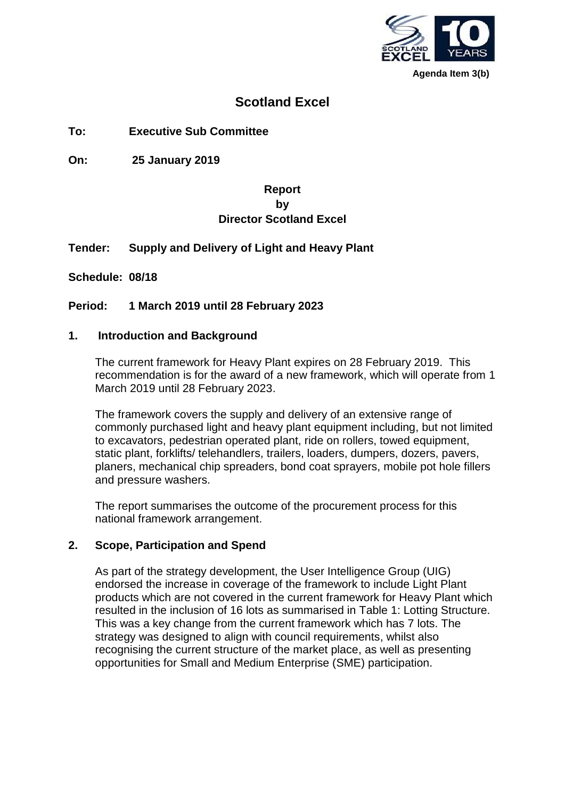

**Agenda Item 3(b)**

## **Scotland Excel**

**To: Executive Sub Committee**

**On: 25 January 2019**

## **Report by Director Scotland Excel**

#### **Tender: Supply and Delivery of Light and Heavy Plant**

**Schedule: 08/18**

#### **Period: 1 March 2019 until 28 February 2023**

#### **1. Introduction and Background**

The current framework for Heavy Plant expires on 28 February 2019. This recommendation is for the award of a new framework, which will operate from 1 March 2019 until 28 February 2023.

The framework covers the supply and delivery of an extensive range of commonly purchased light and heavy plant equipment including, but not limited to excavators, pedestrian operated plant, ride on rollers, towed equipment, static plant, forklifts/ telehandlers, trailers, loaders, dumpers, dozers, pavers, planers, mechanical chip spreaders, bond coat sprayers, mobile pot hole fillers and pressure washers.

The report summarises the outcome of the procurement process for this national framework arrangement.

#### **2. Scope, Participation and Spend**

As part of the strategy development, the User Intelligence Group (UIG) endorsed the increase in coverage of the framework to include Light Plant products which are not covered in the current framework for Heavy Plant which resulted in the inclusion of 16 lots as summarised in Table 1: Lotting Structure. This was a key change from the current framework which has 7 lots. The strategy was designed to align with council requirements, whilst also recognising the current structure of the market place, as well as presenting opportunities for Small and Medium Enterprise (SME) participation.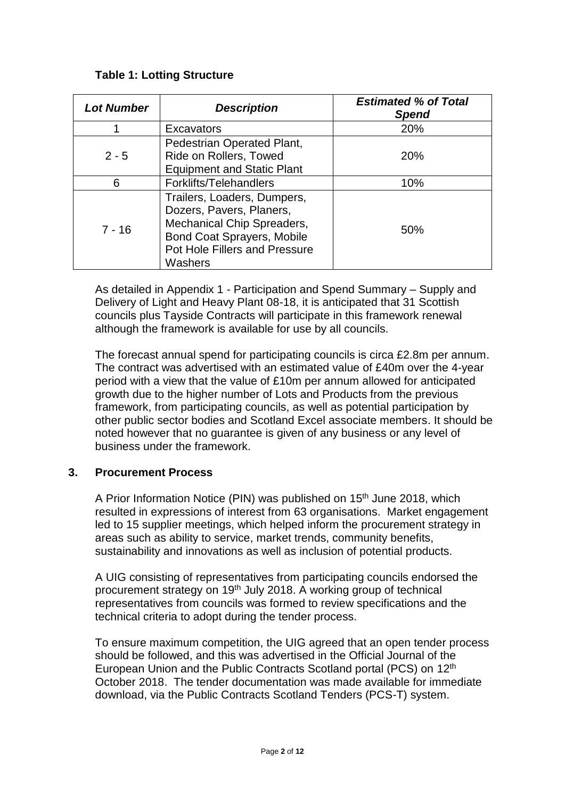## **Table 1: Lotting Structure**

| <b>Lot Number</b> | <b>Description</b>                                                                                                                                                     | <b>Estimated % of Total</b><br><b>Spend</b> |
|-------------------|------------------------------------------------------------------------------------------------------------------------------------------------------------------------|---------------------------------------------|
|                   | Excavators                                                                                                                                                             | 20%                                         |
| $2 - 5$           | Pedestrian Operated Plant,<br>Ride on Rollers, Towed<br><b>Equipment and Static Plant</b>                                                                              | 20%                                         |
| 6                 | Forklifts/Telehandlers                                                                                                                                                 | 10%                                         |
| $7 - 16$          | Trailers, Loaders, Dumpers,<br>Dozers, Pavers, Planers,<br>Mechanical Chip Spreaders,<br><b>Bond Coat Sprayers, Mobile</b><br>Pot Hole Fillers and Pressure<br>Washers | 50%                                         |

As detailed in Appendix 1 - Participation and Spend Summary – Supply and Delivery of Light and Heavy Plant 08-18, it is anticipated that 31 Scottish councils plus Tayside Contracts will participate in this framework renewal although the framework is available for use by all councils.

The forecast annual spend for participating councils is circa £2.8m per annum. The contract was advertised with an estimated value of £40m over the 4-year period with a view that the value of £10m per annum allowed for anticipated growth due to the higher number of Lots and Products from the previous framework, from participating councils, as well as potential participation by other public sector bodies and Scotland Excel associate members. It should be noted however that no guarantee is given of any business or any level of business under the framework.

## **3. Procurement Process**

A Prior Information Notice (PIN) was published on 15<sup>th</sup> June 2018, which resulted in expressions of interest from 63 organisations. Market engagement led to 15 supplier meetings, which helped inform the procurement strategy in areas such as ability to service, market trends, community benefits, sustainability and innovations as well as inclusion of potential products.

A UIG consisting of representatives from participating councils endorsed the procurement strategy on 19<sup>th</sup> July 2018. A working group of technical representatives from councils was formed to review specifications and the technical criteria to adopt during the tender process.

To ensure maximum competition, the UIG agreed that an open tender process should be followed, and this was advertised in the Official Journal of the European Union and the Public Contracts Scotland portal (PCS) on 12th October 2018. The tender documentation was made available for immediate download, via the Public Contracts Scotland Tenders (PCS-T) system.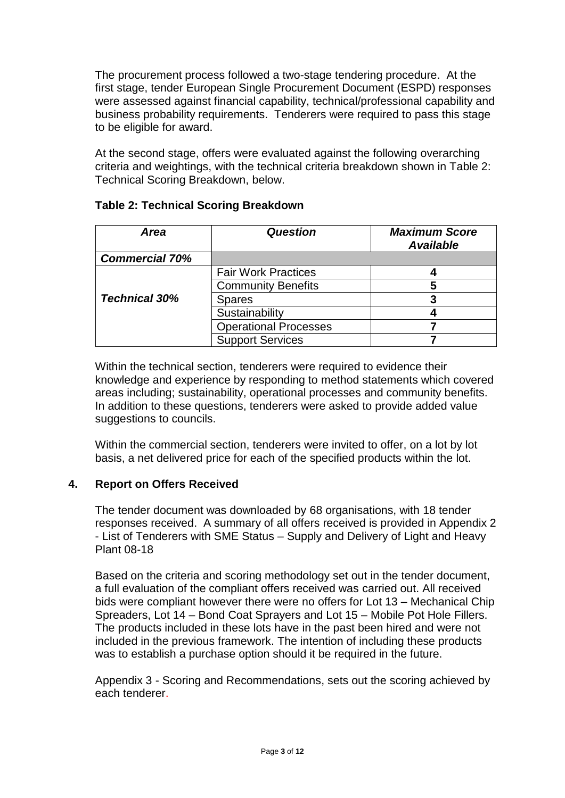The procurement process followed a two-stage tendering procedure. At the first stage, tender European Single Procurement Document (ESPD) responses were assessed against financial capability, technical/professional capability and business probability requirements. Tenderers were required to pass this stage to be eligible for award.

At the second stage, offers were evaluated against the following overarching criteria and weightings, with the technical criteria breakdown shown in Table 2: Technical Scoring Breakdown, below.

| Area                  | <b>Question</b>              | <b>Maximum Score</b><br><b>Available</b> |
|-----------------------|------------------------------|------------------------------------------|
| <b>Commercial 70%</b> |                              |                                          |
|                       | <b>Fair Work Practices</b>   |                                          |
|                       | <b>Community Benefits</b>    | 5                                        |
| <b>Technical 30%</b>  | <b>Spares</b>                |                                          |
|                       | Sustainability               |                                          |
|                       | <b>Operational Processes</b> |                                          |
|                       | <b>Support Services</b>      |                                          |

## **Table 2: Technical Scoring Breakdown**

Within the technical section, tenderers were required to evidence their knowledge and experience by responding to method statements which covered areas including; sustainability, operational processes and community benefits. In addition to these questions, tenderers were asked to provide added value suggestions to councils.

Within the commercial section, tenderers were invited to offer, on a lot by lot basis, a net delivered price for each of the specified products within the lot.

## **4. Report on Offers Received**

The tender document was downloaded by 68 organisations, with 18 tender responses received. A summary of all offers received is provided in Appendix 2 - List of Tenderers with SME Status – Supply and Delivery of Light and Heavy Plant 08-18

Based on the criteria and scoring methodology set out in the tender document, a full evaluation of the compliant offers received was carried out. All received bids were compliant however there were no offers for Lot 13 – Mechanical Chip Spreaders, Lot 14 – Bond Coat Sprayers and Lot 15 – Mobile Pot Hole Fillers. The products included in these lots have in the past been hired and were not included in the previous framework. The intention of including these products was to establish a purchase option should it be required in the future.

Appendix 3 - Scoring and Recommendations, sets out the scoring achieved by each tenderer.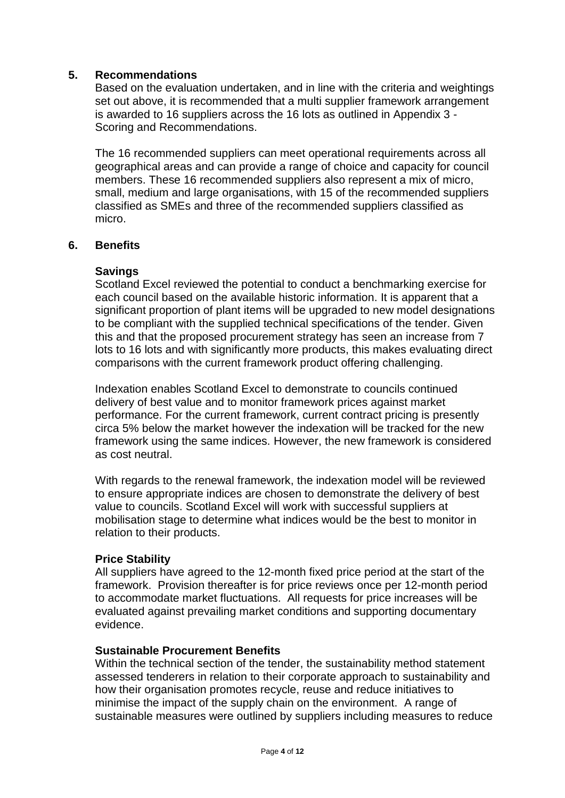#### **5. Recommendations**

Based on the evaluation undertaken, and in line with the criteria and weightings set out above, it is recommended that a multi supplier framework arrangement is awarded to 16 suppliers across the 16 lots as outlined in Appendix 3 - Scoring and Recommendations.

The 16 recommended suppliers can meet operational requirements across all geographical areas and can provide a range of choice and capacity for council members. These 16 recommended suppliers also represent a mix of micro, small, medium and large organisations, with 15 of the recommended suppliers classified as SMEs and three of the recommended suppliers classified as micro.

#### **6. Benefits**

#### **Savings**

Scotland Excel reviewed the potential to conduct a benchmarking exercise for each council based on the available historic information. It is apparent that a significant proportion of plant items will be upgraded to new model designations to be compliant with the supplied technical specifications of the tender. Given this and that the proposed procurement strategy has seen an increase from 7 lots to 16 lots and with significantly more products, this makes evaluating direct comparisons with the current framework product offering challenging.

Indexation enables Scotland Excel to demonstrate to councils continued delivery of best value and to monitor framework prices against market performance. For the current framework, current contract pricing is presently circa 5% below the market however the indexation will be tracked for the new framework using the same indices. However, the new framework is considered as cost neutral.

With regards to the renewal framework, the indexation model will be reviewed to ensure appropriate indices are chosen to demonstrate the delivery of best value to councils. Scotland Excel will work with successful suppliers at mobilisation stage to determine what indices would be the best to monitor in relation to their products.

#### **Price Stability**

All suppliers have agreed to the 12-month fixed price period at the start of the framework. Provision thereafter is for price reviews once per 12-month period to accommodate market fluctuations. All requests for price increases will be evaluated against prevailing market conditions and supporting documentary evidence.

#### **Sustainable Procurement Benefits**

Within the technical section of the tender, the sustainability method statement assessed tenderers in relation to their corporate approach to sustainability and how their organisation promotes recycle, reuse and reduce initiatives to minimise the impact of the supply chain on the environment. A range of sustainable measures were outlined by suppliers including measures to reduce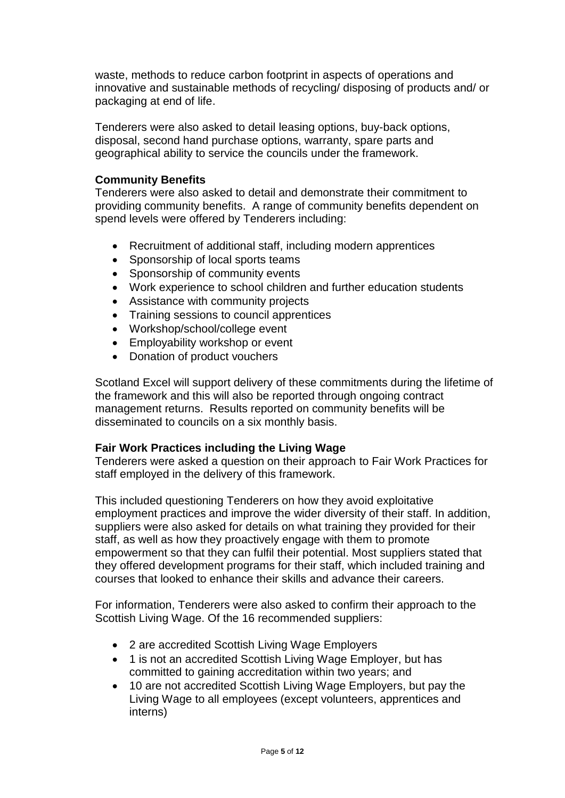waste, methods to reduce carbon footprint in aspects of operations and innovative and sustainable methods of recycling/ disposing of products and/ or packaging at end of life.

Tenderers were also asked to detail leasing options, buy-back options, disposal, second hand purchase options, warranty, spare parts and geographical ability to service the councils under the framework.

#### **Community Benefits**

Tenderers were also asked to detail and demonstrate their commitment to providing community benefits. A range of community benefits dependent on spend levels were offered by Tenderers including:

- Recruitment of additional staff, including modern apprentices
- Sponsorship of local sports teams
- Sponsorship of community events
- Work experience to school children and further education students
- Assistance with community projects
- Training sessions to council apprentices
- Workshop/school/college event
- Employability workshop or event
- Donation of product vouchers

Scotland Excel will support delivery of these commitments during the lifetime of the framework and this will also be reported through ongoing contract management returns. Results reported on community benefits will be disseminated to councils on a six monthly basis.

#### **Fair Work Practices including the Living Wage**

Tenderers were asked a question on their approach to Fair Work Practices for staff employed in the delivery of this framework.

This included questioning Tenderers on how they avoid exploitative employment practices and improve the wider diversity of their staff. In addition, suppliers were also asked for details on what training they provided for their staff, as well as how they proactively engage with them to promote empowerment so that they can fulfil their potential. Most suppliers stated that they offered development programs for their staff, which included training and courses that looked to enhance their skills and advance their careers.

For information, Tenderers were also asked to confirm their approach to the Scottish Living Wage. Of the 16 recommended suppliers:

- 2 are accredited Scottish Living Wage Employers
- 1 is not an accredited Scottish Living Wage Employer, but has committed to gaining accreditation within two years; and
- 10 are not accredited Scottish Living Wage Employers, but pay the Living Wage to all employees (except volunteers, apprentices and interns)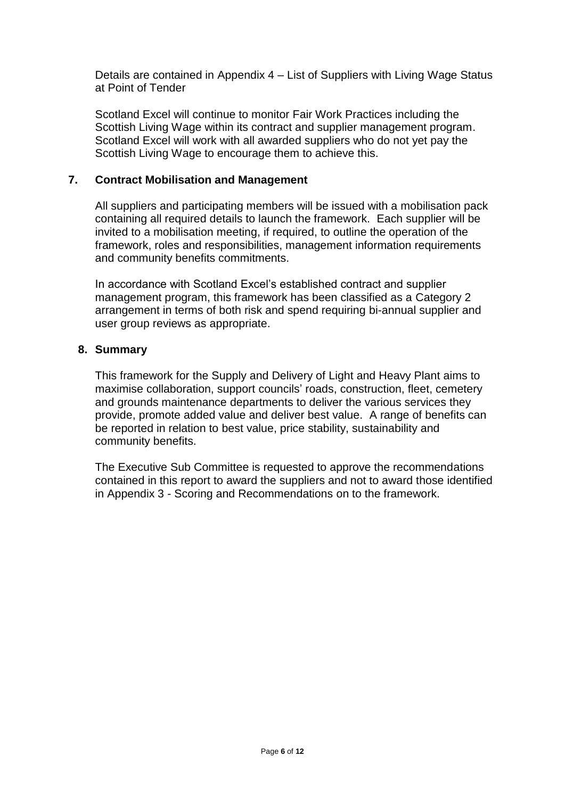Details are contained in Appendix 4 – List of Suppliers with Living Wage Status at Point of Tender

Scotland Excel will continue to monitor Fair Work Practices including the Scottish Living Wage within its contract and supplier management program. Scotland Excel will work with all awarded suppliers who do not yet pay the Scottish Living Wage to encourage them to achieve this.

#### **7. Contract Mobilisation and Management**

All suppliers and participating members will be issued with a mobilisation pack containing all required details to launch the framework. Each supplier will be invited to a mobilisation meeting, if required, to outline the operation of the framework, roles and responsibilities, management information requirements and community benefits commitments.

In accordance with Scotland Excel's established contract and supplier management program, this framework has been classified as a Category 2 arrangement in terms of both risk and spend requiring bi-annual supplier and user group reviews as appropriate.

#### **8. Summary**

This framework for the Supply and Delivery of Light and Heavy Plant aims to maximise collaboration, support councils' roads, construction, fleet, cemetery and grounds maintenance departments to deliver the various services they provide, promote added value and deliver best value. A range of benefits can be reported in relation to best value, price stability, sustainability and community benefits.

The Executive Sub Committee is requested to approve the recommendations contained in this report to award the suppliers and not to award those identified in Appendix 3 - Scoring and Recommendations on to the framework.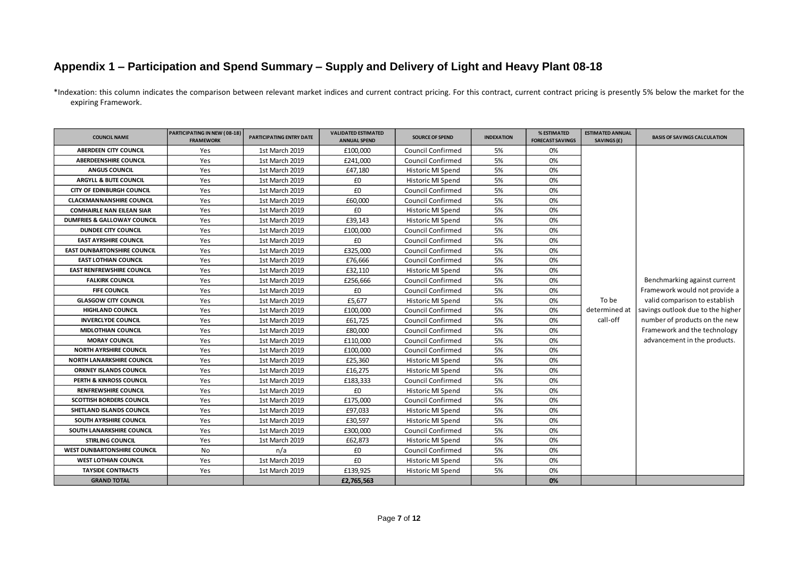## **Appendix 1 – Participation and Spend Summary – Supply and Delivery of Light and Heavy Plant 08-18**

\*Indexation: this column indicates the comparison between relevant market indices and current contract pricing. For this contract, current contract pricing is presently 5% below the market for the expiring Framework.

| <b>COUNCIL NAME</b>                | PARTICIPATING IN NEW (08-18)<br><b>FRAMEWORK</b> | PARTICIPATING ENTRY DATE | <b>VALIDATED ESTIMATED</b><br><b>ANNUAL SPEND</b> | <b>SOURCE OF SPEND</b>   | <b>INDEXATION</b> | % ESTIMATED<br><b>FORECAST SAVINGS</b> | <b>ESTIMATED ANNUAL</b><br>SAVINGS (£) | <b>BASIS OF SAVINGS CALCULATION</b> |
|------------------------------------|--------------------------------------------------|--------------------------|---------------------------------------------------|--------------------------|-------------------|----------------------------------------|----------------------------------------|-------------------------------------|
| <b>ABERDEEN CITY COUNCIL</b>       | Yes                                              | 1st March 2019           | £100,000                                          | <b>Council Confirmed</b> | 5%                | 0%                                     |                                        |                                     |
| <b>ABERDEENSHIRE COUNCIL</b>       | Yes                                              | 1st March 2019           | £241,000                                          | <b>Council Confirmed</b> | 5%                | 0%                                     |                                        |                                     |
| <b>ANGUS COUNCIL</b>               | Yes                                              | 1st March 2019           | £47,180                                           | Historic MI Spend        | 5%                | 0%                                     |                                        |                                     |
| ARGYLL & BUTE COUNCIL              | Yes                                              | 1st March 2019           | £0                                                | Historic MI Spend        | 5%                | 0%                                     |                                        |                                     |
| <b>CITY OF EDINBURGH COUNCIL</b>   | Yes                                              | 1st March 2019           | £0                                                | <b>Council Confirmed</b> | 5%                | 0%                                     |                                        |                                     |
| <b>CLACKMANNANSHIRE COUNCIL</b>    | Yes                                              | 1st March 2019           | £60,000                                           | <b>Council Confirmed</b> | 5%                | 0%                                     |                                        |                                     |
| <b>COMHAIRLE NAN EILEAN SIAR</b>   | Yes                                              | 1st March 2019           | £0                                                | Historic MI Spend        | 5%                | 0%                                     |                                        |                                     |
| DUMFRIES & GALLOWAY COUNCIL        | Yes                                              | 1st March 2019           | £39,143                                           | Historic MI Spend        | 5%                | 0%                                     |                                        |                                     |
| <b>DUNDEE CITY COUNCIL</b>         | Yes                                              | 1st March 2019           | £100,000                                          | <b>Council Confirmed</b> | 5%                | 0%                                     |                                        |                                     |
| <b>EAST AYRSHIRE COUNCIL</b>       | Yes                                              | 1st March 2019           | £0                                                | <b>Council Confirmed</b> | 5%                | 0%                                     |                                        |                                     |
| <b>EAST DUNBARTONSHIRE COUNCIL</b> | Yes                                              | 1st March 2019           | £325,000                                          | Council Confirmed        | 5%                | 0%                                     |                                        |                                     |
| <b>EAST LOTHIAN COUNCIL</b>        | Yes                                              | 1st March 2019           | £76,666                                           | <b>Council Confirmed</b> | 5%                | 0%                                     |                                        |                                     |
| <b>EAST RENFREWSHIRE COUNCIL</b>   | Yes                                              | 1st March 2019           | £32,110                                           | Historic MI Spend        | 5%                | 0%                                     |                                        |                                     |
| <b>FALKIRK COUNCIL</b>             | Yes                                              | 1st March 2019           | £256,666                                          | Council Confirmed        | 5%                | 0%                                     |                                        | Benchmarking against current        |
| <b>FIFE COUNCIL</b>                | Yes                                              | 1st March 2019           | £0                                                | <b>Council Confirmed</b> | 5%                | 0%                                     |                                        | Framework would not provide a       |
| <b>GLASGOW CITY COUNCIL</b>        | Yes                                              | 1st March 2019           | £5,677                                            | Historic MI Spend        | 5%                | 0%                                     | To be                                  | valid comparison to establish       |
| <b>HIGHLAND COUNCIL</b>            | Yes                                              | 1st March 2019           | £100,000                                          | <b>Council Confirmed</b> | 5%                | 0%                                     | determined at                          | savings outlook due to the higher   |
| <b>INVERCLYDE COUNCIL</b>          | Yes                                              | 1st March 2019           | £61,725                                           | <b>Council Confirmed</b> | 5%                | 0%                                     | call-off                               | number of products on the new       |
| <b>MIDLOTHIAN COUNCIL</b>          | Yes                                              | 1st March 2019           | £80,000                                           | <b>Council Confirmed</b> | 5%                | 0%                                     |                                        | Framework and the technology        |
| <b>MORAY COUNCIL</b>               | Yes                                              | 1st March 2019           | £110,000                                          | <b>Council Confirmed</b> | 5%                | 0%                                     |                                        | advancement in the products.        |
| <b>NORTH AYRSHIRE COUNCIL</b>      | Yes                                              | 1st March 2019           | £100,000                                          | Council Confirmed        | 5%                | 0%                                     |                                        |                                     |
| <b>NORTH LANARKSHIRE COUNCIL</b>   | Yes                                              | 1st March 2019           | £25,360                                           | Historic MI Spend        | 5%                | 0%                                     |                                        |                                     |
| <b>ORKNEY ISLANDS COUNCIL</b>      | Yes                                              | 1st March 2019           | £16,275                                           | Historic MI Spend        | 5%                | 0%                                     |                                        |                                     |
| <b>PERTH &amp; KINROSS COUNCIL</b> | Yes                                              | 1st March 2019           | £183,333                                          | <b>Council Confirmed</b> | 5%                | 0%                                     |                                        |                                     |
| <b>RENFREWSHIRE COUNCIL</b>        | Yes                                              | 1st March 2019           | £0                                                | Historic MI Spend        | 5%                | 0%                                     |                                        |                                     |
| <b>SCOTTISH BORDERS COUNCIL</b>    | Yes                                              | 1st March 2019           | £175,000                                          | Council Confirmed        | 5%                | 0%                                     |                                        |                                     |
| SHETLAND ISLANDS COUNCIL           | Yes                                              | 1st March 2019           | £97,033                                           | Historic MI Spend        | 5%                | 0%                                     |                                        |                                     |
| SOUTH AYRSHIRE COUNCIL             | Yes                                              | 1st March 2019           | £30,597                                           | Historic MI Spend        | 5%                | 0%                                     |                                        |                                     |
| SOUTH LANARKSHIRE COUNCIL          | Yes                                              | 1st March 2019           | £300,000                                          | <b>Council Confirmed</b> | 5%                | 0%                                     |                                        |                                     |
| <b>STIRLING COUNCIL</b>            | Yes                                              | 1st March 2019           | £62,873                                           | Historic MI Spend        | 5%                | 0%                                     |                                        |                                     |
| <b>WEST DUNBARTONSHIRE COUNCIL</b> | <b>No</b>                                        | n/a                      | £0                                                | <b>Council Confirmed</b> | 5%                | 0%                                     |                                        |                                     |
| <b>WEST LOTHIAN COUNCIL</b>        | Yes                                              | 1st March 2019           | £0                                                | Historic MI Spend        | 5%                | 0%                                     |                                        |                                     |
| <b>TAYSIDE CONTRACTS</b>           | Yes                                              | 1st March 2019           | £139,925                                          | Historic MI Spend        | 5%                | 0%                                     |                                        |                                     |
| <b>GRAND TOTAL</b>                 |                                                  |                          | £2,765,563                                        |                          |                   | 0%                                     |                                        |                                     |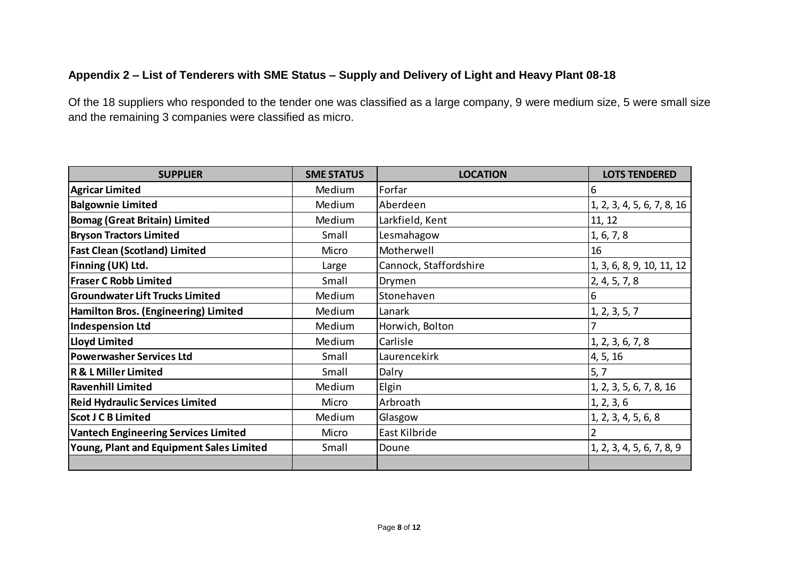## **Appendix 2 – List of Tenderers with SME Status – Supply and Delivery of Light and Heavy Plant 08-18**

Of the 18 suppliers who responded to the tender one was classified as a large company, 9 were medium size, 5 were small size and the remaining 3 companies were classified as micro.

| <b>SUPPLIER</b>                             | <b>SME STATUS</b> | <b>LOCATION</b>        | <b>LOTS TENDERED</b>       |
|---------------------------------------------|-------------------|------------------------|----------------------------|
| <b>Agricar Limited</b>                      | Medium            | Forfar                 | Iб                         |
| <b>Balgownie Limited</b>                    | Medium            | Aberdeen               | 1, 2, 3, 4, 5, 6, 7, 8, 16 |
| <b>Bomag (Great Britain) Limited</b>        | Medium            | Larkfield, Kent        | 11, 12                     |
| <b>Bryson Tractors Limited</b>              | Small             | Lesmahagow             | 1, 6, 7, 8                 |
| <b>Fast Clean (Scotland) Limited</b>        | Micro             | Motherwell             | 16                         |
| Finning (UK) Ltd.                           | Large             | Cannock, Staffordshire | 1, 3, 6, 8, 9, 10, 11, 12  |
| <b>Fraser C Robb Limited</b>                | Small             | Drymen                 | 2, 4, 5, 7, 8              |
| <b>Groundwater Lift Trucks Limited</b>      | Medium            | Stonehaven             | 6                          |
| Hamilton Bros. (Engineering) Limited        | Medium            | Lanark                 | 1, 2, 3, 5, 7              |
| Indespension Ltd                            | Medium            | Horwich, Bolton        |                            |
| Lloyd Limited                               | Medium            | Carlisle               | 1, 2, 3, 6, 7, 8           |
| <b>Powerwasher Services Ltd</b>             | Small             | Laurencekirk           | 4, 5, 16                   |
| <b>R &amp; L Miller Limited</b>             | Small             | Dalry                  | 5, 7                       |
| <b>Ravenhill Limited</b>                    | Medium            | Elgin                  | 1, 2, 3, 5, 6, 7, 8, 16    |
| <b>Reid Hydraulic Services Limited</b>      | Micro             | Arbroath               | 1, 2, 3, 6                 |
| Scot J C B Limited                          | Medium            | Glasgow                | 1, 2, 3, 4, 5, 6, 8        |
| <b>Vantech Engineering Services Limited</b> | Micro             | East Kilbride          |                            |
| Young, Plant and Equipment Sales Limited    | Small             | Doune                  | 1, 2, 3, 4, 5, 6, 7, 8, 9  |
|                                             |                   |                        |                            |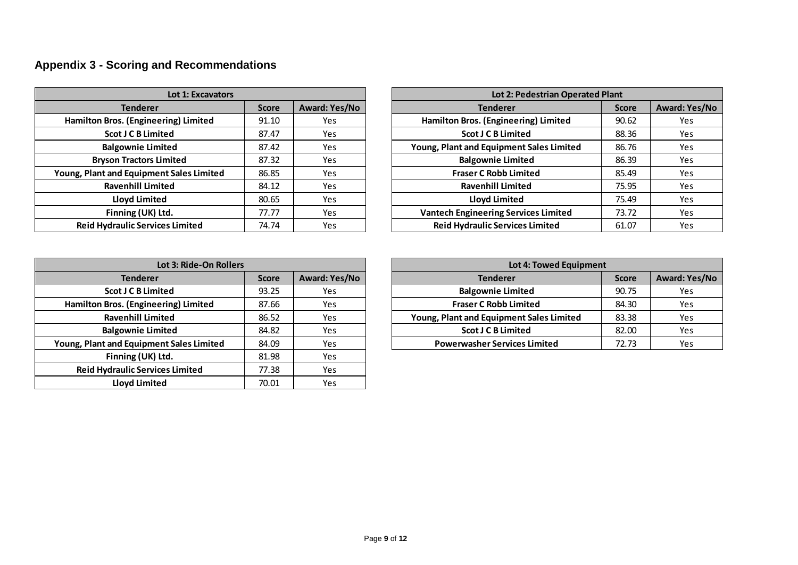# **Appendix 3 - Scoring and Recommendations**

| <b>Lot 1: Excavators</b>                 |              |                      |  | Lot 2: Pedestrian Operated Plant            |              |                 |
|------------------------------------------|--------------|----------------------|--|---------------------------------------------|--------------|-----------------|
| <b>Tenderer</b>                          | <b>Score</b> | <b>Award: Yes/No</b> |  | <b>Tenderer</b>                             | <b>Score</b> | <b>Award: Y</b> |
| Hamilton Bros. (Engineering) Limited     | 91.10        | Yes                  |  | Hamilton Bros. (Engineering) Limited        | 90.62        | Yes             |
| <b>Scot J C B Limited</b>                | 87.47        | Yes                  |  | <b>Scot J C B Limited</b>                   | 88.36        | Yes             |
| <b>Balgownie Limited</b>                 | 87.42        | Yes                  |  | Young, Plant and Equipment Sales Limited    | 86.76        | Yes             |
| <b>Bryson Tractors Limited</b>           | 87.32        | Yes                  |  | <b>Balgownie Limited</b>                    | 86.39        | Yes             |
| Young, Plant and Equipment Sales Limited | 86.85        | Yes                  |  | <b>Fraser C Robb Limited</b>                | 85.49        | Yes             |
| <b>Ravenhill Limited</b>                 | 84.12        | Yes                  |  | <b>Ravenhill Limited</b>                    | 75.95        | Yes             |
| <b>Lloyd Limited</b>                     | 80.65        | Yes                  |  | <b>Lloyd Limited</b>                        | 75.49        | Yes             |
| Finning (UK) Ltd.                        | 77.77        | Yes                  |  | <b>Vantech Engineering Services Limited</b> | 73.72        | Yes             |
| <b>Reid Hydraulic Services Limited</b>   | 74.74        | Yes                  |  | <b>Reid Hydraulic Services Limited</b>      | 61.07        | Yes             |

| <b>Lot 1: Excavators</b>               |              |                      | Lot 2: Pedestrian Operated Plant            |              |               |
|----------------------------------------|--------------|----------------------|---------------------------------------------|--------------|---------------|
| <b>Tenderer</b>                        | <b>Score</b> | <b>Award: Yes/No</b> | <b>Tenderer</b>                             | <b>Score</b> | Award: Yes/No |
| milton Bros. (Engineering) Limited     | 91.10        | Yes                  | Hamilton Bros. (Engineering) Limited        | 90.62        | Yes           |
| <b>Scot J C B Limited</b>              | 87.47        | Yes                  | <b>Scot J C B Limited</b>                   | 88.36        | Yes           |
| <b>Balgownie Limited</b>               | 87.42        | Yes                  | Young, Plant and Equipment Sales Limited    | 86.76        | Yes           |
| <b>Bryson Tractors Limited</b>         | 87.32        | Yes                  | <b>Balgownie Limited</b>                    | 86.39        | Yes           |
| g, Plant and Equipment Sales Limited   | 86.85        | Yes                  | <b>Fraser C Robb Limited</b>                | 85.49        | Yes           |
| <b>Ravenhill Limited</b>               | 84.12        | Yes                  | <b>Ravenhill Limited</b>                    | 75.95        | Yes           |
| <b>Lloyd Limited</b>                   | 80.65        | Yes                  | <b>Lloyd Limited</b>                        | 75.49        | Yes           |
| Finning (UK) Ltd.                      | 77.77        | Yes                  | <b>Vantech Engineering Services Limited</b> | 73.72        | Yes           |
| <b>Reid Hydraulic Services Limited</b> | 74.74        | Yes                  | <b>Reid Hydraulic Services Limited</b>      | 61.07        | Yes           |
|                                        |              |                      |                                             |              |               |

| Lot 3: Ride-On Rollers                   |              |               | Lot 4: Towed Equipment                   |              |                 |
|------------------------------------------|--------------|---------------|------------------------------------------|--------------|-----------------|
| <b>Tenderer</b>                          | <b>Score</b> | Award: Yes/No | <b>Tenderer</b>                          | <b>Score</b> | <b>Award: Y</b> |
| <b>Scot J C B Limited</b>                | 93.25        | Yes           | <b>Balgownie Limited</b>                 | 90.75        | Yes             |
| Hamilton Bros. (Engineering) Limited     | 87.66        | Yes           | <b>Fraser C Robb Limited</b>             | 84.30        | Yes             |
| <b>Ravenhill Limited</b>                 | 86.52        | Yes           | Young, Plant and Equipment Sales Limited | 83.38        | Yes             |
| <b>Balgownie Limited</b>                 | 84.82        | Yes           | <b>Scot J C B Limited</b>                | 82.00        | Yes             |
| Young, Plant and Equipment Sales Limited | 84.09        | Yes           | <b>Powerwasher Services Limited</b>      | 72.73        | Yes             |
| Finning (UK) Ltd.                        | 81.98        | Yes           |                                          |              |                 |
| <b>Reid Hydraulic Services Limited</b>   | 77.38        | Yes           |                                          |              |                 |
| <b>Lloyd Limited</b>                     | 70.01        | Yes           |                                          |              |                 |

| Lot 3: Ride-On Rollers             |              |               | Lot 4: Towed Equipment                   |              |               |  |
|------------------------------------|--------------|---------------|------------------------------------------|--------------|---------------|--|
| <b>Tenderer</b>                    | <b>Score</b> | Award: Yes/No | <b>Tenderer</b>                          | <b>Score</b> | Award: Yes/No |  |
| <b>Scot J C B Limited</b>          | 93.25        | Yes           | <b>Balgownie Limited</b>                 | 90.75        | Yes           |  |
| <b>Bros.</b> (Engineering) Limited | 87.66        | Yes           | <b>Fraser C Robb Limited</b>             | 84.30        | Yes           |  |
| <b>Ravenhill Limited</b>           | 86.52        | Yes           | Young, Plant and Equipment Sales Limited | 83.38        | Yes           |  |
| <b>Balgownie Limited</b>           | 84.82        | Yes           | <b>Scot J C B Limited</b>                | 82.00        | Yes           |  |
| t and Equipment Sales Limited      | 84.09        | Yes           | <b>Powerwasher Services Limited</b>      | 72.73        | Yes           |  |
|                                    |              |               |                                          |              |               |  |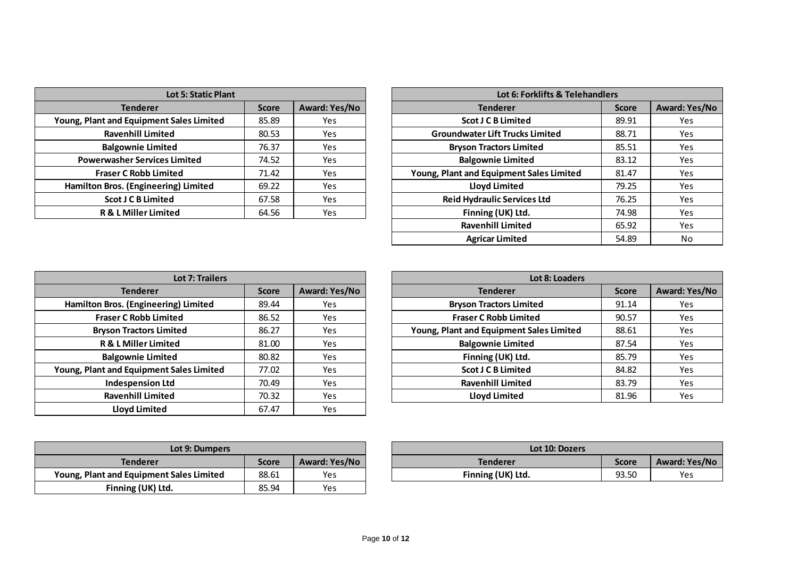| <b>Lot 5: Static Plant</b>               |              |                      |  | Lot 6: Forklifts & Telehandlers          |              |                 |
|------------------------------------------|--------------|----------------------|--|------------------------------------------|--------------|-----------------|
| <b>Tenderer</b>                          | <b>Score</b> | <b>Award: Yes/No</b> |  | <b>Tenderer</b>                          | <b>Score</b> | <b>Award: Y</b> |
| Young, Plant and Equipment Sales Limited | 85.89        | Yes                  |  | <b>Scot J C B Limited</b>                | 89.91        | Yes             |
| <b>Ravenhill Limited</b>                 | 80.53        | Yes                  |  | <b>Groundwater Lift Trucks Limited</b>   | 88.71        | Yes             |
| <b>Balgownie Limited</b>                 | 76.37        | Yes                  |  | <b>Bryson Tractors Limited</b>           | 85.51        | Yes             |
| <b>Powerwasher Services Limited</b>      | 74.52        | <b>Yes</b>           |  | <b>Balgownie Limited</b>                 | 83.12        | Yes             |
| <b>Fraser C Robb Limited</b>             | 71.42        | <b>Yes</b>           |  | Young, Plant and Equipment Sales Limited | 81.47        | Yes             |
| Hamilton Bros. (Engineering) Limited     | 69.22        | Yes                  |  | <b>Lloyd Limited</b>                     | 79.25        | Yes             |
| <b>Scot J C B Limited</b>                | 67.58        | <b>Yes</b>           |  | <b>Reid Hydraulic Services Ltd</b>       | 76.25        | Yes             |
| <b>R &amp; L Miller Limited</b>          | 64.56        | <b>Yes</b>           |  | Finning (UK) Ltd.                        | 74.98        | Yes             |

| <b>Lot 5: Static Plant</b>             |              |               | Lot 6: Forklifts & Telehandlers          |              |
|----------------------------------------|--------------|---------------|------------------------------------------|--------------|
| <b>Tenderer</b>                        | <b>Score</b> | Award: Yes/No | <b>Tenderer</b>                          | <b>Score</b> |
| ung, Plant and Equipment Sales Limited | 85.89        | Yes           | <b>Scot J C B Limited</b>                | 89.91        |
| <b>Ravenhill Limited</b>               | 80.53        | Yes           | <b>Groundwater Lift Trucks Limited</b>   | 88.71        |
| <b>Balgownie Limited</b>               | 76.37        | Yes           | <b>Bryson Tractors Limited</b>           | 85.51        |
| <b>Powerwasher Services Limited</b>    | 74.52        | Yes           | <b>Balgownie Limited</b>                 | 83.12        |
| <b>Fraser C Robb Limited</b>           | 71.42        | Yes           | Young, Plant and Equipment Sales Limited | 81.47        |
| Hamilton Bros. (Engineering) Limited   | 69.22        | Yes           | <b>Lloyd Limited</b>                     | 79.25        |
| <b>Scot J C B Limited</b>              | 67.58        | Yes           | <b>Reid Hydraulic Services Ltd</b>       | 76.25        |
| <b>R &amp; L Miller Limited</b>        | 64.56        | Yes           | Finning (UK) Ltd.                        | 74.98        |
|                                        |              |               | <b>Ravenhill Limited</b>                 | 65.92        |
|                                        |              |               | <b>Agricar Limited</b>                   | 54.89        |

| <b>Lot 7: Trailers</b>                   |              |               |  | Lot 8: Loaders                           |              |                 |
|------------------------------------------|--------------|---------------|--|------------------------------------------|--------------|-----------------|
| <b>Tenderer</b>                          | <b>Score</b> | Award: Yes/No |  | <b>Tenderer</b>                          | <b>Score</b> | <b>Award: Y</b> |
| Hamilton Bros. (Engineering) Limited     | 89.44        | Yes           |  | <b>Bryson Tractors Limited</b>           | 91.14        | Yes             |
| <b>Fraser C Robb Limited</b>             | 86.52        | Yes           |  | <b>Fraser C Robb Limited</b>             | 90.57        | Yes             |
| <b>Bryson Tractors Limited</b>           | 86.27        | Yes           |  | Young, Plant and Equipment Sales Limited | 88.61        | Yes             |
| R & L Miller Limited                     | 81.00        | Yes           |  | <b>Balgownie Limited</b>                 | 87.54        | Yes             |
| <b>Balgownie Limited</b>                 | 80.82        | Yes           |  | Finning (UK) Ltd.                        | 85.79        | Yes             |
| Young, Plant and Equipment Sales Limited | 77.02        | <b>Yes</b>    |  | <b>Scot J C B Limited</b>                | 84.82        | Yes             |
| <b>Indespension Ltd</b>                  | 70.49        | Yes           |  | <b>Ravenhill Limited</b>                 | 83.79        | Yes             |
| <b>Ravenhill Limited</b>                 | 70.32        | <b>Yes</b>    |  | <b>Lloyd Limited</b>                     | 81.96        | Yes             |
| <b>Lloyd Limited</b>                     | 67.47        | Yes           |  |                                          |              |                 |

| Lot 7: Trailers                 |              |               | Lot 8: Loaders                           |              |               |  |  |
|---------------------------------|--------------|---------------|------------------------------------------|--------------|---------------|--|--|
| <b>Tenderer</b>                 | <b>Score</b> | Award: Yes/No | <b>Tenderer</b>                          | <b>Score</b> | Award: Yes/No |  |  |
| on Bros. (Engineering) Limited  | 89.44        | Yes           | <b>Bryson Tractors Limited</b>           | 91.14        | Yes           |  |  |
| <b>Fraser C Robb Limited</b>    | 86.52        | Yes           | <b>Fraser C Robb Limited</b>             | 90.57        | Yes           |  |  |
| <b>Bryson Tractors Limited</b>  | 86.27        | Yes           | Young, Plant and Equipment Sales Limited | 88.61        | Yes           |  |  |
| R & L Miller Limited            | 81.00        | Yes           | <b>Balgownie Limited</b>                 | 87.54        | Yes           |  |  |
| <b>Balgownie Limited</b>        | 80.82        | Yes           | Finning (UK) Ltd.                        | 85.79        | Yes           |  |  |
| ant and Equipment Sales Limited | 77.02        | Yes           | <b>Scot J C B Limited</b>                | 84.82        | Yes           |  |  |
| <b>Indespension Ltd</b>         | 70.49        | Yes           | <b>Ravenhill Limited</b>                 | 83.79        | Yes           |  |  |
| <b>Ravenhill Limited</b>        | 70.32        | Yes           | <b>Lloyd Limited</b>                     | 81.96        | Yes           |  |  |
|                                 |              |               |                                          |              |               |  |  |

| Lot 9: Dumpers                           |       |               | Lot 10: Dozers    |              |                 |
|------------------------------------------|-------|---------------|-------------------|--------------|-----------------|
| <b>Tenderer</b>                          | Score | Award: Yes/No | <b>Tenderer</b>   | <b>Score</b> | <b>Award: Y</b> |
| Young, Plant and Equipment Sales Limited | 88.61 | Yes           | Finning (UK) Ltd. | 93.50        | Yes             |
| Finning (UK) Ltd.                        | 85.94 | Yes           |                   |              |                 |

| Lot 9: Dumpers          |       |               | Lot 10: Dozers    |       |                      |
|-------------------------|-------|---------------|-------------------|-------|----------------------|
| Tenderer                | Score | Award: Yes/No | <b>Tenderer</b>   | Score | <b>Award: Yes/No</b> |
| Equipment Sales Limited | 88.61 | Yes           | Finning (UK) Ltd. | 93.50 | Yes                  |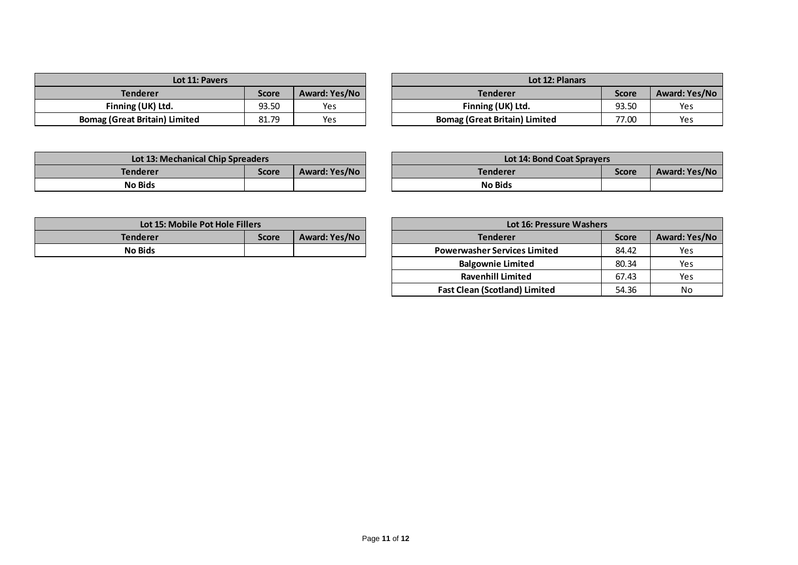| Lot 11: Pavers                       | Lot 12: Planars |               |                                      |
|--------------------------------------|-----------------|---------------|--------------------------------------|
| <b>Tenderer</b>                      | <b>Score</b>    | Award: Yes/No | <b>Tenderer</b>                      |
| Finning (UK) Ltd.                    | 93.50           | Yes           | Finning (UK) Ltd.                    |
| <b>Bomag (Great Britain) Limited</b> | 81.79           | Yes           | <b>Bomag (Great Britain) Limited</b> |

| Lot 11: Pavers                |       |               | Lot 12: Planars                      |              |               |
|-------------------------------|-------|---------------|--------------------------------------|--------------|---------------|
| <b>Tenderer</b>               | Score | Award: Yes/No | <b>Tenderer</b>                      | <b>Score</b> | Award: Yes/No |
| Finning (UK) Ltd.             | 93.50 | Yes           | Finning (UK) Ltd.                    | 93.50        | Yes           |
| Bomag (Great Britain) Limited | 81.79 | Yes           | <b>Bomag (Great Britain) Limited</b> | 77.00        | Yes           |

| Lot 13: Mechanical Chip Spreaders | Lot 14: Bond Coat Sprayers |               |                 |  |
|-----------------------------------|----------------------------|---------------|-----------------|--|
| <b>Tenderer</b>                   | <b>Score</b>               | Award: Yes/No | <b>Tenderer</b> |  |
| <b>No Bids</b>                    |                            |               | <b>No Bids</b>  |  |

| Lot 13: Mechanical Chip Spreaders |       |               | <b>Lot 14: Bond Coat Sprayers</b> |       |               |
|-----------------------------------|-------|---------------|-----------------------------------|-------|---------------|
| Tenderer                          | Score | Award: Yes/No | <b>Tenderer</b>                   | Score | Award: Yes/No |
| <b>No Bids</b>                    |       |               | <b>No Bids</b>                    |       |               |

| Lot 15: Mobile Pot Hole Fillers |              |               | <b>Lot 16: Pressure Washers</b>     |  |
|---------------------------------|--------------|---------------|-------------------------------------|--|
| Tenderer                        | <b>Score</b> | Award: Yes/No | <b>Tenderer</b>                     |  |
| <b>No Bids</b>                  |              |               | <b>Powerwasher Services Limited</b> |  |
|                                 |              |               |                                     |  |

| Lot 15: Mobile Pot Hole Fillers |              |               | Lot 16: Pressure Washers             |               |     |  |
|---------------------------------|--------------|---------------|--------------------------------------|---------------|-----|--|
| <b>Tenderer</b>                 | <b>Score</b> | Award: Yes/No | <b>Tenderer</b>                      | Award: Yes/No |     |  |
| <b>No Bids</b>                  |              |               | <b>Powerwasher Services Limited</b>  | 84.42         | Yes |  |
|                                 |              |               | <b>Balgownie Limited</b>             | 80.34         | Yes |  |
|                                 |              |               | <b>Ravenhill Limited</b>             | 67.43         | Yes |  |
|                                 |              |               | <b>Fast Clean (Scotland) Limited</b> | 54.36         | No  |  |
|                                 |              |               |                                      |               |     |  |
|                                 |              |               |                                      |               |     |  |